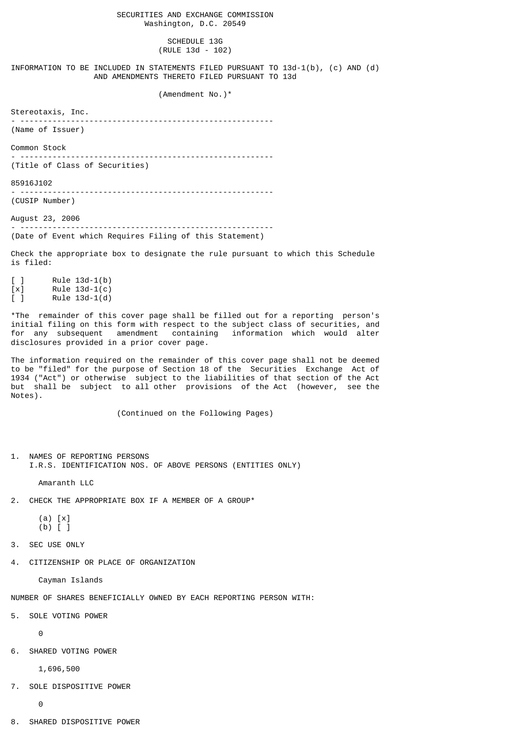#### SCHEDULE 13G (RULE 13d - 102)

INFORMATION TO BE INCLUDED IN STATEMENTS FILED PURSUANT TO 13d-1(b), (c) AND (d) AND AMENDMENTS THERETO FILED PURSUANT TO 13d

#### (Amendment No.)\*

Stereotaxis, Inc.

- ------------------------------------------------------- (Name of Issuer)

Common Stock

- -------------------------------------------------------

- -------------------------------------------------------

(Title of Class of Securities)

85916J102

(CUSIP Number)

August 23, 2006 - ------------------------------------------------------- (Date of Event which Requires Filing of this Statement)

Check the appropriate box to designate the rule pursuant to which this Schedule is filed:

 $[ ]$  Rule 13d-1(b)  $[x]$  Rule 13d-1(c) [ ] Rule 13d-1(d)

\*The remainder of this cover page shall be filled out for a reporting person's initial filing on this form with respect to the subject class of securities, and for any subsequent amendment containing information which would alter disclosures provided in a prior cover page.

The information required on the remainder of this cover page shall not be deemed to be "filed" for the purpose of Section 18 of the Securities Exchange Act of 1934 ("Act") or otherwise subject to the liabilities of that section of the Act but shall be subject to all other provisions of the Act (however, see the Notes).

(Continued on the Following Pages)

1. NAMES OF REPORTING PERSONS I.R.S. IDENTIFICATION NOS. OF ABOVE PERSONS (ENTITIES ONLY)

Amaranth LLC

2. CHECK THE APPROPRIATE BOX IF A MEMBER OF A GROUP\*

 (a) [x] (b) [ ]

3. SEC USE ONLY

4. CITIZENSHIP OR PLACE OF ORGANIZATION

Cayman Islands

NUMBER OF SHARES BENEFICIALLY OWNED BY EACH REPORTING PERSON WITH:

5. SOLE VOTING POWER

 $\Omega$ 

6. SHARED VOTING POWER

1,696,500

7. SOLE DISPOSITIVE POWER

 $\Theta$ 

8. SHARED DISPOSITIVE POWER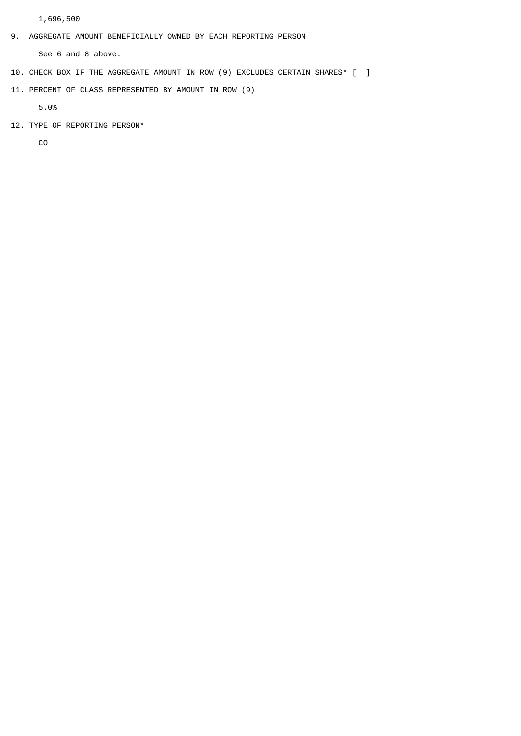1,696,500

9. AGGREGATE AMOUNT BENEFICIALLY OWNED BY EACH REPORTING PERSON

See 6 and 8 above.

- 10. CHECK BOX IF THE AGGREGATE AMOUNT IN ROW (9) EXCLUDES CERTAIN SHARES\* [ ]
- 11. PERCENT OF CLASS REPRESENTED BY AMOUNT IN ROW (9)

5.0%

12. TYPE OF REPORTING PERSON\*

CO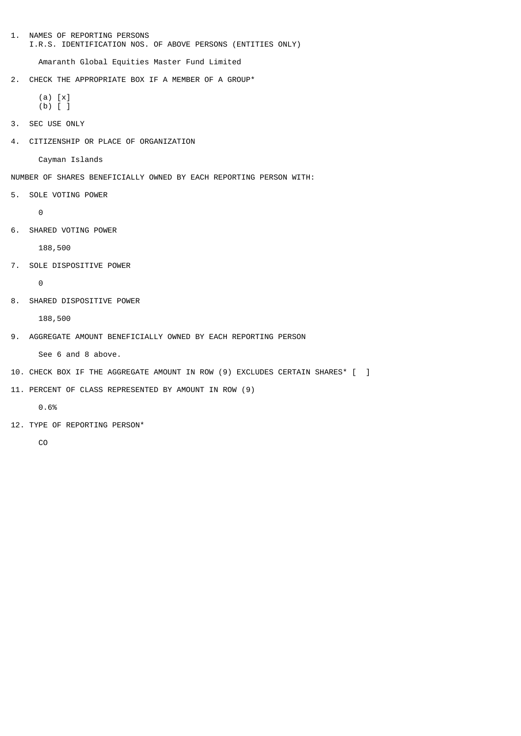1. NAMES OF REPORTING PERSONS I.R.S. IDENTIFICATION NOS. OF ABOVE PERSONS (ENTITIES ONLY)

Amaranth Global Equities Master Fund Limited

2. CHECK THE APPROPRIATE BOX IF A MEMBER OF A GROUP\*

```
 (a) [x]
(b) [ ]
```
- 3. SEC USE ONLY
- 4. CITIZENSHIP OR PLACE OF ORGANIZATION

Cayman Islands

- NUMBER OF SHARES BENEFICIALLY OWNED BY EACH REPORTING PERSON WITH:
- 5. SOLE VOTING POWER

 $\Omega$ 

6. SHARED VOTING POWER

188,500

7. SOLE DISPOSITIVE POWER

0

8. SHARED DISPOSITIVE POWER

188,500

9. AGGREGATE AMOUNT BENEFICIALLY OWNED BY EACH REPORTING PERSON

See 6 and 8 above.

- 10. CHECK BOX IF THE AGGREGATE AMOUNT IN ROW (9) EXCLUDES CERTAIN SHARES\* [ ]
- 11. PERCENT OF CLASS REPRESENTED BY AMOUNT IN ROW (9)

0.6%

12. TYPE OF REPORTING PERSON\*

CO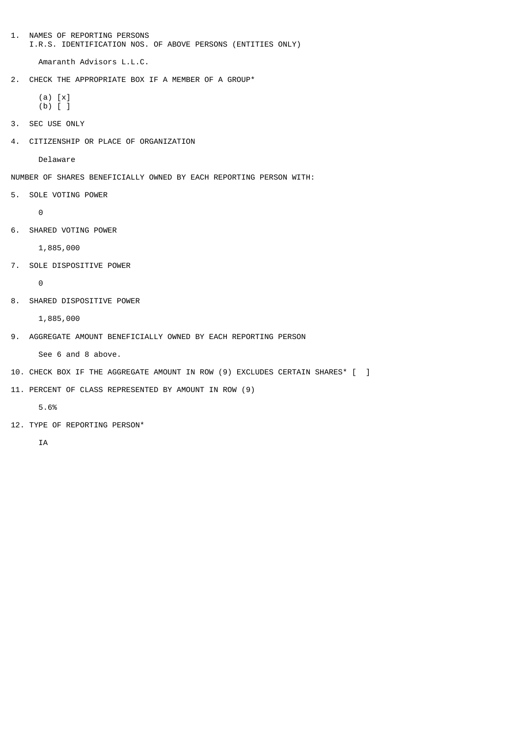1. NAMES OF REPORTING PERSONS I.R.S. IDENTIFICATION NOS. OF ABOVE PERSONS (ENTITIES ONLY)

Amaranth Advisors L.L.C.

2. CHECK THE APPROPRIATE BOX IF A MEMBER OF A GROUP\*

```
 (a) [x]
(b) [ ]
```
- 3. SEC USE ONLY
- 4. CITIZENSHIP OR PLACE OF ORGANIZATION

Delaware

- NUMBER OF SHARES BENEFICIALLY OWNED BY EACH REPORTING PERSON WITH:
- 5. SOLE VOTING POWER

 $\Theta$ 

6. SHARED VOTING POWER

1,885,000

7. SOLE DISPOSITIVE POWER

0

8. SHARED DISPOSITIVE POWER

1,885,000

9. AGGREGATE AMOUNT BENEFICIALLY OWNED BY EACH REPORTING PERSON

See 6 and 8 above.

- 10. CHECK BOX IF THE AGGREGATE AMOUNT IN ROW (9) EXCLUDES CERTAIN SHARES\* [ ]
- 11. PERCENT OF CLASS REPRESENTED BY AMOUNT IN ROW (9)

5.6%

12. TYPE OF REPORTING PERSON\*

**TA**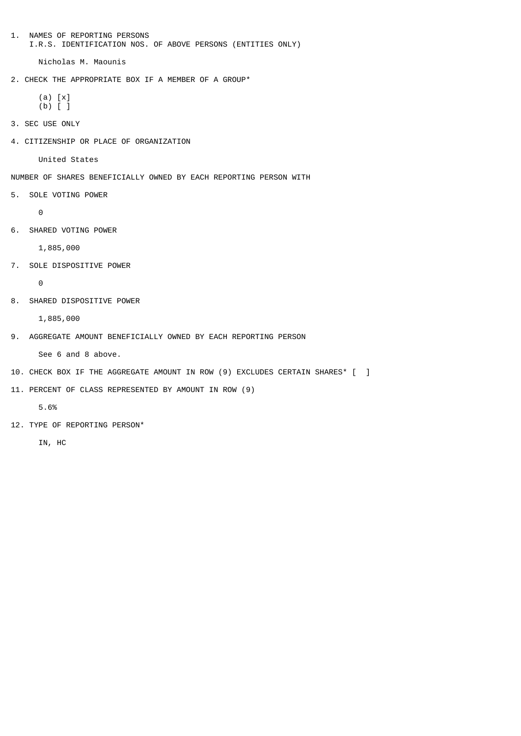1. NAMES OF REPORTING PERSONS I.R.S. IDENTIFICATION NOS. OF ABOVE PERSONS (ENTITIES ONLY)

Nicholas M. Maounis

2. CHECK THE APPROPRIATE BOX IF A MEMBER OF A GROUP\*

```
 (a) [x]
(b) [ ]
```
- 3. SEC USE ONLY
- 4. CITIZENSHIP OR PLACE OF ORGANIZATION

United States

- NUMBER OF SHARES BENEFICIALLY OWNED BY EACH REPORTING PERSON WITH
- 5. SOLE VOTING POWER

 $\Theta$ 

6. SHARED VOTING POWER

1,885,000

7. SOLE DISPOSITIVE POWER

0

8. SHARED DISPOSITIVE POWER

1,885,000

9. AGGREGATE AMOUNT BENEFICIALLY OWNED BY EACH REPORTING PERSON

See 6 and 8 above.

- 10. CHECK BOX IF THE AGGREGATE AMOUNT IN ROW (9) EXCLUDES CERTAIN SHARES\* [ ]
- 11. PERCENT OF CLASS REPRESENTED BY AMOUNT IN ROW (9)

5.6%

12. TYPE OF REPORTING PERSON\*

IN, HC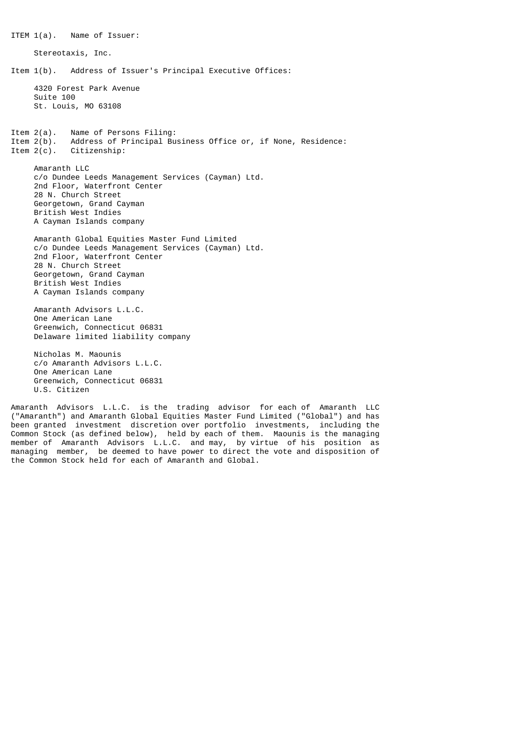ITEM 1(a). Name of Issuer: Stereotaxis, Inc. Item 1(b). Address of Issuer's Principal Executive Offices: 4320 Forest Park Avenue Suite 100 St. Louis, MO 63108 Item 2(a). Name of Persons Filing:<br>Item 2(b). Address of Principal Bu Item  $2(b)$ . Address of Principal Business Office or, if None, Residence:<br>Item  $2(c)$ . Citizenship: Citizenship: Amaranth LLC c/o Dundee Leeds Management Services (Cayman) Ltd. 2nd Floor, Waterfront Center 28 N. Church Street Georgetown, Grand Cayman British West Indies A Cayman Islands company Amaranth Global Equities Master Fund Limited c/o Dundee Leeds Management Services (Cayman) Ltd. 2nd Floor, Waterfront Center 28 N. Church Street Georgetown, Grand Cayman British West Indies A Cayman Islands company Amaranth Advisors L.L.C. One American Lane Greenwich, Connecticut 06831 Delaware limited liability company Nicholas M. Maounis c/o Amaranth Advisors L.L.C. One American Lane Greenwich, Connecticut 06831

Amaranth Advisors L.L.C. is the trading advisor for each of Amaranth LLC ("Amaranth") and Amaranth Global Equities Master Fund Limited ("Global") and has been granted investment discretion over portfolio investments, including the Common Stock (as defined below), held by each of them. Maounis is the managing member of Amaranth Advisors L.L.C. and may, by virtue of his position as managing member, be deemed to have power to direct the vote and disposition of the Common Stock held for each of Amaranth and Global.

U.S. Citizen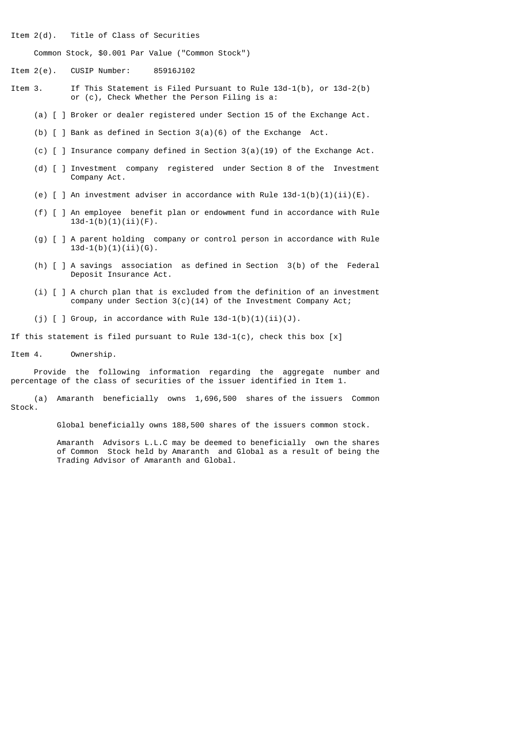Item 2(d). Title of Class of Securities

Common Stock, \$0.001 Par Value ("Common Stock")

Item 2(e). CUSIP Number: 85916J102

- Item 3. If This Statement is Filed Pursuant to Rule 13d-1(b), or 13d-2(b) or (c), Check Whether the Person Filing is a:
	- (a) [ ] Broker or dealer registered under Section 15 of the Exchange Act.
	- (b) [ ] Bank as defined in Section 3(a)(6) of the Exchange Act.
	- (c) [ ] Insurance company defined in Section 3(a)(19) of the Exchange Act.
	- (d) [ ] Investment company registered under Section 8 of the Investment Company Act.
	- (e)  $\lceil$  | An investment adviser in accordance with Rule 13d-1(b)(1)(ii)(E).
	- (f) [ ] An employee benefit plan or endowment fund in accordance with Rule  $13d-1(b)(1)(ii)(F)$ .
	- (g) [ ] A parent holding company or control person in accordance with Rule  $13d-1(b)(1)(ii)(G)$ .
	- (h) [ ] A savings association as defined in Section 3(b) of the Federal Deposit Insurance Act.
	- (i) [ ] A church plan that is excluded from the definition of an investment company under Section 3(c)(14) of the Investment Company Act;
	- (i)  $\lceil$   $\rceil$  Group, in accordance with Rule 13d-1(b)(1)(ii)(J).

If this statement is filed pursuant to Rule  $13d-1(c)$ , check this box [x]

Item 4. Ownership.

 Provide the following information regarding the aggregate number and percentage of the class of securities of the issuer identified in Item 1.

 (a) Amaranth beneficially owns 1,696,500 shares of the issuers Common Stock.

Global beneficially owns 188,500 shares of the issuers common stock.

 Amaranth Advisors L.L.C may be deemed to beneficially own the shares of Common Stock held by Amaranth and Global as a result of being the Trading Advisor of Amaranth and Global.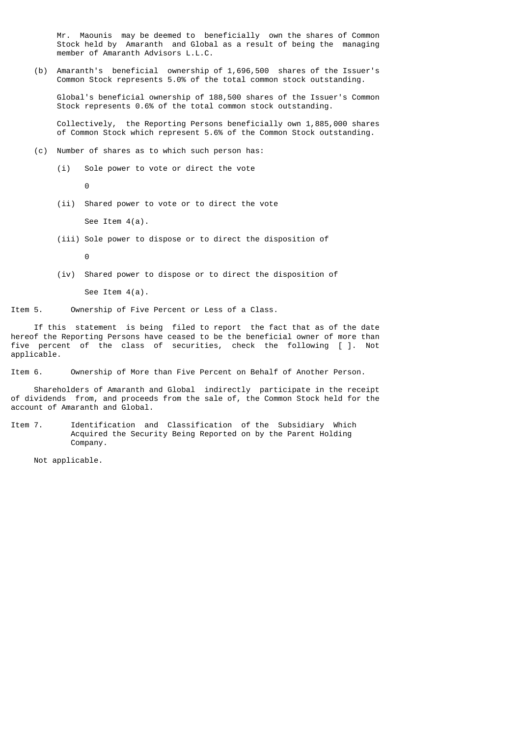Mr. Maounis may be deemed to beneficially own the shares of Common Stock held by Amaranth and Global as a result of being the managing member of Amaranth Advisors L.L.C.

 (b) Amaranth's beneficial ownership of 1,696,500 shares of the Issuer's Common Stock represents 5.0% of the total common stock outstanding.

 Global's beneficial ownership of 188,500 shares of the Issuer's Common Stock represents 0.6% of the total common stock outstanding.

 Collectively, the Reporting Persons beneficially own 1,885,000 shares of Common Stock which represent 5.6% of the Common Stock outstanding.

- (c) Number of shares as to which such person has:
	- (i) Sole power to vote or direct the vote

<u>de la contrada de la contrada de la contrada de la contrada de la contrada de la contrada de la con</u>

(ii) Shared power to vote or to direct the vote

See Item 4(a).

(iii) Sole power to dispose or to direct the disposition of

<u>de la contrada de la contrada de la contrada de la contrada de la contrada de la contrada de la con</u>

(iv) Shared power to dispose or to direct the disposition of

See Item 4(a).

Item 5. Ownership of Five Percent or Less of a Class.

 If this statement is being filed to report the fact that as of the date hereof the Reporting Persons have ceased to be the beneficial owner of more than five percent of the class of securities, check the following [ ]. Not applicable.

Item 6. Ownership of More than Five Percent on Behalf of Another Person.

 Shareholders of Amaranth and Global indirectly participate in the receipt of dividends from, and proceeds from the sale of, the Common Stock held for the account of Amaranth and Global.

Item 7. Identification and Classification of the Subsidiary Which Acquired the Security Being Reported on by the Parent Holding Company.

Not applicable.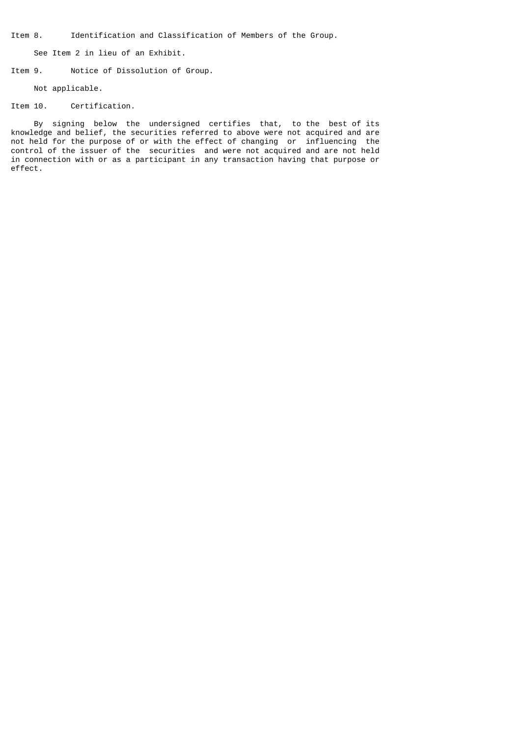Item 8. Identification and Classification of Members of the Group.

See Item 2 in lieu of an Exhibit.

Item 9. Notice of Dissolution of Group.

Not applicable.

## Item 10. Certification.

 By signing below the undersigned certifies that, to the best of its knowledge and belief, the securities referred to above were not acquired and are not held for the purpose of or with the effect of changing or influencing the control of the issuer of the securities and were not acquired and are not held in connection with or as a participant in any transaction having that purpose or effect.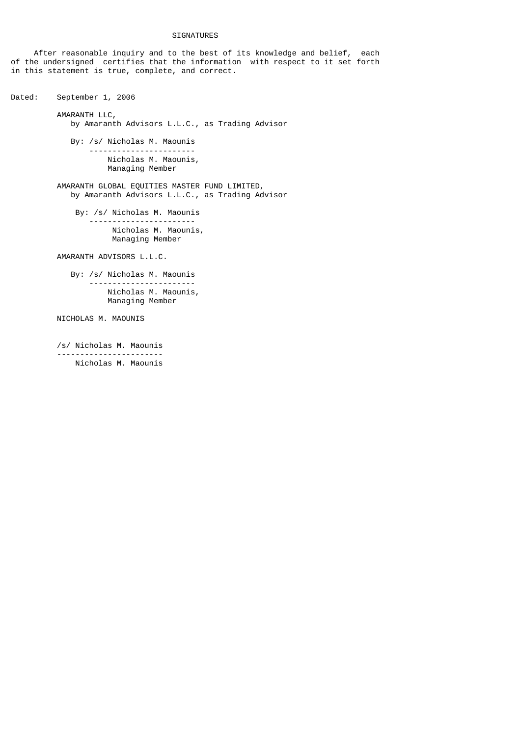# SIGNATURES

 After reasonable inquiry and to the best of its knowledge and belief, each of the undersigned certifies that the information with respect to it set forth in this statement is true, complete, and correct.

Dated: September 1, 2006 AMARANTH LLC, by Amaranth Advisors L.L.C., as Trading Advisor By: /s/ Nicholas M. Maounis ----------------------- Nicholas M. Maounis, Managing Member AMARANTH GLOBAL EQUITIES MASTER FUND LIMITED, by Amaranth Advisors L.L.C., as Trading Advisor By: /s/ Nicholas M. Maounis ----------------------- Nicholas M. Maounis, Managing Member AMARANTH ADVISORS L.L.C. By: /s/ Nicholas M. Maounis ----------------------- Nicholas M. Maounis, Managing Member NICHOLAS M. MAOUNIS /s/ Nicholas M. Maounis -----------------------

Nicholas M. Maounis